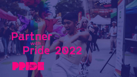# Partner<br>Pride 2022

**vancouve**<br>**pride**<br>society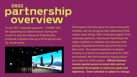### partnership overview

To our 2021 corporate sponsors – THANK YOU for supporting our hybrid season. During the month of July, the Vancouver Pride Society produced a dynamic line up of 36 in-person and 26 virtual events.



Pride doesn't look the same for each community member, and we recognize that celebrating Pride means many things. With continued support from corporate sponsors, Vancouver Pride brings the region together to celebrate and educate while paying marginalized artists and performers for their work. Our experienced team is already working on a return to in-person events for 2022 and beyond! We look forward to hearing about your vision for Pride season. **Official Partners receive special access to event sites and we customize the program to meet your goals and objectives. Event schedule is subject to change.**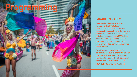### **PARADE PARADE!!**

The annual Pride Parade is where members of the 2SLGBTQAI+ community loudly take up space to unabashedly be exactly who they are and proclaim that until all of us are safe to participate, we continue to MARCH for Pride! Due to the pandemic, we have celebrated on-line and support from community and corporate sponsors has been amazing!

The VPS team is working with civic stakeholders to take over the streets and celebrate with everyone this summer. The largest parade in the city returns on **Sunday July 31 starting at 12 noon**.

**LOCATION: Downtown & West End.**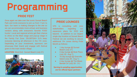### **PRIDE FEST**

Once again we take over the iconic Sunset Beach Park and invite everyone to join us from 11am to 6pm. Our team is making changes to the site so we can accommodate more artisan and business vendors along with everyone's favorite FOOD trucks! Local and regional artists get their chance to shine on the Main stage and pop-up stage in the Family Fun Zone. 2SLGBTQAI+ DJ's keep everyone dancing all afternoon in the 19+ zone. Depending on your investment, sponsors can showcase their brand and engage with festival goers in the main vendor village.

**LOCATION:** West End - Sunset Beach (July 31)



#### **PRIDE LOUNGES**

VPS is consulting with civic stakeholders regarding our expansion plans for 2022 and beyond. In addition to our largest single day location at Sunset Beach Festival we are working to secure additional 19+ zones during Pride Month as follows:

- 1 day lounge @ Sunset Beach (July 31)
- 4 day lounge @ Bute Plaza (July 29 - Aug 1)
- 10 day lounge @ Granville Island (July 29 - Aug 1)
- 4 day lounge @ The Mews Bentall Ctr (July 28 - 31)

**Serving & sampling opportunities are for official liquor partners** 

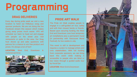### **DRAG DELIVERIES**

Every day during pride week we visit a new location to hand out FABulous swag and sponsor products. We are not doing the live Facebook stream this season which makes giving away prizes much easier. VPS will schedule our team to head out and engage with people on the street plus visit restaurants or pubs in the area. Our Drag host shows up and asks questions with patrons for a chance to win free product and prizes. It's always a ton of fun!!

**LOCATION:** West End, Downtown & Commercial Drive



### **PRIDE ART WALK**

The Pride Art Walk enables people to engage in a self-guided art tour, safely and with their closest family or friends. Based upon securing funding, the West End and Downtown core host temporary art installations plus a permanent mural (in partnership with Vancouver Mural Festival), for two weeks in July.

This event is still in development and requires a curator to manage artists and civic stakeholders. With full funding from corporate sponsors, we can bring back this event while making it accessible to people who are blind or low vision through a guided audio tour by Vocal Eye.

**LOCATION:** West End & Downtown

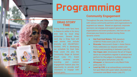#### **DRAG STORY TIME**

During Pride week fans have a chance to settle in for story time told by local drag performers. Several times each day a Drag host will read stories that include diversity and 2SLGBTQAI+ families. VPS is developing our schedule for East Side Pride (June 25) plus the Community Stage at Sunset Beach (July 31). Event Partner receives on-site branding and custom engagement feature plus the opportunity to provide staff volunteers to engage with festival goers.

### **Community Engagement**

Throughout the year, Vancouver Pride joint ventures with various community partners and organizations to augment our season. Based on approval, corporate sponsors can engage and support grassroots organizations and event producers. Ask how we can showcase your brand or product during these dynamic events:

- **Hot Fruit Cool Waters:** THE signature QTBIPOC Pride event (July 23 or 24)
- **Ricecake:** Vancouver's Queer + Asian Dance Party celebrates our slaysian sisters and misters and everything in between (July 29)
- **Van Vogue Jam:** showcases the art of Vogue dance as competitors register in advance and perform for the judges in multiple categories for Vogue glory and prizes (July 30)
- **Afroqueer: is Vancouver's only Black Pride** party (July 31)
- **Level Up YVR:** is an extraordinary community hot spot filled with queer talent, abundant joy, connection and Black music (July 31)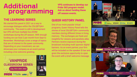### Additional programming

### **THE LEARNING SERIES**

We started this panel in 2021 as a way to encourage dialogue within the 2SLQBTQAI+ community. The event is still in development but VPS will host multiple live ZOOM workshops during the off season. With enough funding we can host 2 per month from Sept to November. Workshops cover a range of topics that are of interest to the queer community. Depending on your investment, we can showcase your company as an event partner including a live welcome greeting.



**VPS continues to develop our Pride 365 program model. Ask us about funding these off season events.**

### **QUEER HISTORY PANEL**

One of our more popular virtual programs, Queer History Panel tells the stories of local 2SLGBTQAI+ community members during different times in living memory. The exchanges are frank and insightful for viewers and panelists alike. Partners receive exposure during the broadcast including multi sponsor digital banners. As an event partner, your firm will be included on the speaker ID bar and given the exclusive opportunity to open the event with a brief welcome message.

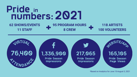

**62 SHOWS/EVENTS 11 STAFF**

**95 PROGRAM HOURS 8 CREW**

**118 ARTISTS 100 VOLUNTEERS**



\*Based on Analytics for June 15-August 3, 2021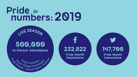## Pride in<br>
numbers: 2019

### 500,000 **In-Person Attendance**

IVE SEASC



232,822

Pride Month **Impressions** 

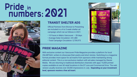## Pride in<br>
numbers: 2021



### **TRANSIT SHELTER ADS**

Official Partners from Bronze to Presenting are included in a 4 to 5 week shelter ad campaign which ran as follows in 2021:

- 10 Faces in Metro Vancouver 28 days
- Average Daily Circulation: 241,480
- Total Campaign Circulation: 5,759,975

#### **PRIDE MAGAZINE**

With exclusive content our Vancouver Pride Magazine provides a platform for local 2SLGBTQAI+ writers to showcase their poetry and short stories. Switching to a magazine format provides more space for ad inserts from sponsors while maintaining strong editorial content. This is a non-exclusive medium with ad-sales managed by Glacier Media. We are returning to traditional distribution channels with appx 15,000 printed copies available at over 60 retail locations in the DT core and Commercial Drive. The web version usually receives over 20,000 impressions in July. **Depending on your investment level, sponsors receive a free ad insert.**

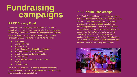## **Fundraising<br>campaigns**

### **PRIDE Bursary Fund**

Vancouver Pride Society supports multiple 2SLGBTQAI+ organizations throughout the year. We also joint venture with community partners who provide valuable programming during our event season. In 2021 VPS provided Pride Bursaries ranging from \$500 - \$2500 to several NPO's including:

- AfroQueer
- Aging with Pride
- Burnaby Pride
- Clean Sober & Proud Last Door Recovery
- Creating Accessible Neighborhoods
- **Greater Vancouver Native Cultural Soc**
- Salam Canada
- Trans Day of Remembrance "Vancouver"
- **OMUNITY**
- Zoombafoolish

We invite your business to support our bursary fund with a cause campaign. Let's discuss your idea and how to mutually promote the fundraising initiative.

### **PRIDE Youth Scholarships**

Pride Youth Scholarships recognizes individuals for their leadership in the 2SLGBTQAI+ community. Each year the LOUD Foundation and Vancouver Pride awarded scholarships of \$2500 each to three outstanding individuals. Since 2014, the VPS has partnered with Vancouver Frontrunners to host the annual Pride Run & Walk to raise funds for the scholarship. The LOUD Foundation issues tax receipts for donations to Pride Youth Scholarships. Talk to us about your ideas to fundraise within your business so we can promote your campaign!